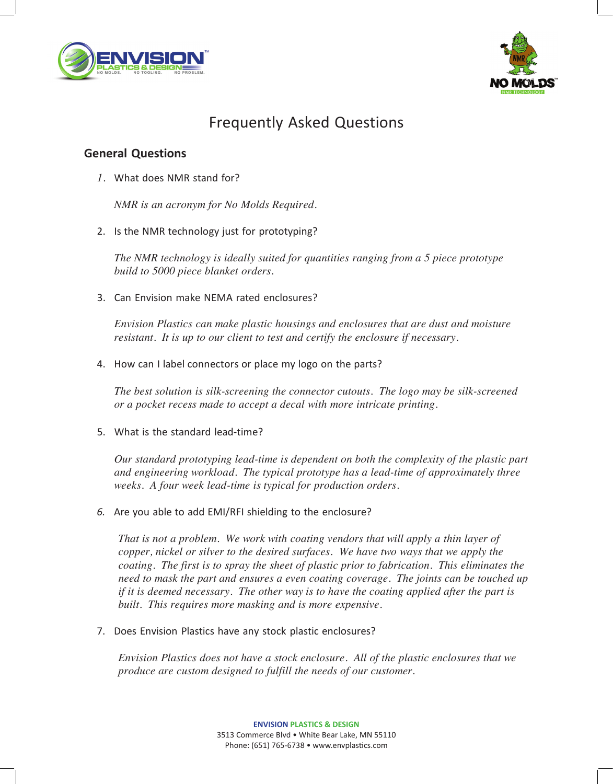



# Frequently Asked Questions

### **General Questions**

*1.* What does NMR stand for?

*NMR is an acronym for No Molds Required.*

2. Is the NMR technology just for prototyping?

*The NMR technology is ideally suited for quantities ranging from a 5 piece prototype build to 5000 piece blanket orders.*

3. Can Envision make NEMA rated enclosures?

*Envision Plastics can make plastic housings and enclosures that are dust and moisture resistant. It is up to our client to test and certify the enclosure if necessary.*

4. How can I label connectors or place my logo on the parts?

*The best solution is silk-screening the connector cutouts. The logo may be silk-screened or a pocket recess made to accept a decal with more intricate printing.*

5. What is the standard lead-time?

*Our standard prototyping lead-time is dependent on both the complexity of the plastic part and engineering workload. The typical prototype has a lead-time of approximately three weeks. A four week lead-time is typical for production orders.*

*6.* Are you able to add EMI/RFI shielding to the enclosure?

*That is not a problem. We work with coating vendors that will apply a thin layer of copper, nickel or silver to the desired surfaces. We have two ways that we apply the coating. The first is to spray the sheet of plastic prior to fabrication. This eliminates the need to mask the part and ensures a even coating coverage. The joints can be touched up if it is deemed necessary. The other way is to have the coating applied after the part is built. This requires more masking and is more expensive.*

7. Does Envision Plastics have any stock plastic enclosures?

*Envision Plastics does not have a stock enclosure. All of the plastic enclosures that we produce are custom designed to fulfill the needs of our customer.*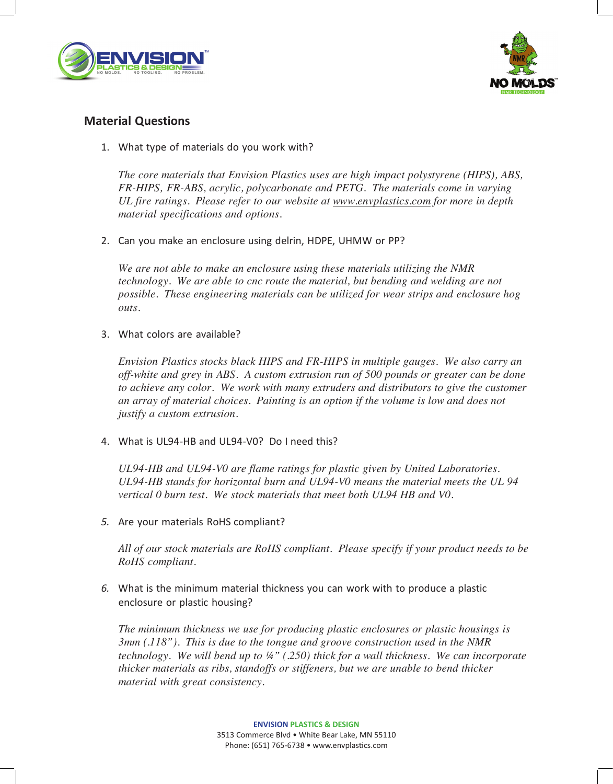



### **Material Questions**

1. What type of materials do you work with?

*The core materials that Envision Plastics uses are high impact polystyrene (HIPS), ABS, FR-HIPS, FR-ABS, acrylic, polycarbonate and PETG. The materials come in varying UL fire ratings. Please refer to our website at www.envplastics.com for more in depth material specifications and options.*

2. Can you make an enclosure using delrin, HDPE, UHMW or PP?

*We are not able to make an enclosure using these materials utilizing the NMR technology. We are able to cnc route the material, but bending and welding are not possible. These engineering materials can be utilized for wear strips and enclosure hog outs.*

3. What colors are available?

*Envision Plastics stocks black HIPS and FR-HIPS in multiple gauges. We also carry an off-white and grey in ABS. A custom extrusion run of 500 pounds or greater can be done to achieve any color. We work with many extruders and distributors to give the customer an array of material choices. Painting is an option if the volume is low and does not justify a custom extrusion.*

4. What is UL94-HB and UL94-V0? Do I need this?

*UL94-HB and UL94-V0 are flame ratings for plastic given by United Laboratories. UL94-HB stands for horizontal burn and UL94-V0 means the material meets the UL 94 vertical 0 burn test. We stock materials that meet both UL94 HB and V0.*

*5.* Are your materials RoHS compliant?

*All of our stock materials are RoHS compliant. Please specify if your product needs to be RoHS compliant.*

*6.* What is the minimum material thickness you can work with to produce a plastic enclosure or plastic housing?

*The minimum thickness we use for producing plastic enclosures or plastic housings is 3mm (.118"). This is due to the tongue and groove construction used in the NMR technology. We will bend up to (.250) thick for a wall thickness. We can incorporate thicker materials as ribs, standoffs or stiffeners, but we are unable to bend thicker material with great consistency.*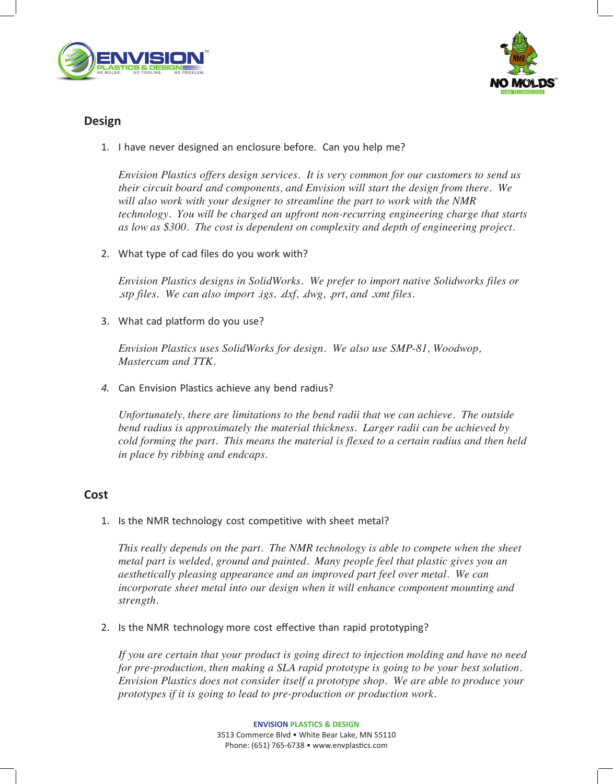



## **Design**

1. I have never designed an enclosure before. Can you help me?

*Envision Plastics offers design services. It is very common for our customers to send us their circuit board and components, and Envision will start the design from there. We will also work with your designer to streamline the part to work with the NMR technology. You will be charged an upfront non-recurring engineering charge that starts as low as \$300. The cost is dependent on complexity and depth of engineering project.*

2. What type of cad files do you work with?

*Envision Plastics designs in SolidWorks. We prefer to import native Solidworks files or .stp files. We can also import .igs, .dxf, .dwg, .prt, and .xmt files.*

3. What cad platform do you use?

*Envision Plastics uses SolidWorks for design. We also use SMP-81, Woodwop, Mastercam and TTK.*

*4.* Can Envision Plastics achieve any bend radius?

*Unfortunately, there are limitations to the bend radii that we can achieve. The outside bend radius is approximately the material thickness. Larger radii can be achieved by cold forming the part. This means the material is flexed to a certain radius and then held in place by ribbing and endcaps.*

#### **Cost**

1. Is the NMR technology cost competitive with sheet metal?

*This really depends on the part. The NMR technology is able to compete when the sheet metal part is welded, ground and painted. Many people feel that plastic gives you an aesthetically pleasing appearance and an improved part feel over metal. We can incorporate sheet metal into our design when it will enhance component mounting and strength.*

2. Is the NMR technology more cost effective than rapid prototyping?

*If you are certain that your product is going direct to injection molding and have no need for pre-production, then making a SLA rapid prototype is going to be your best solution. Envision Plastics does not consider itself a prototype shop. We are able to produce your prototypes if it is going to lead to pre-production or production work.*